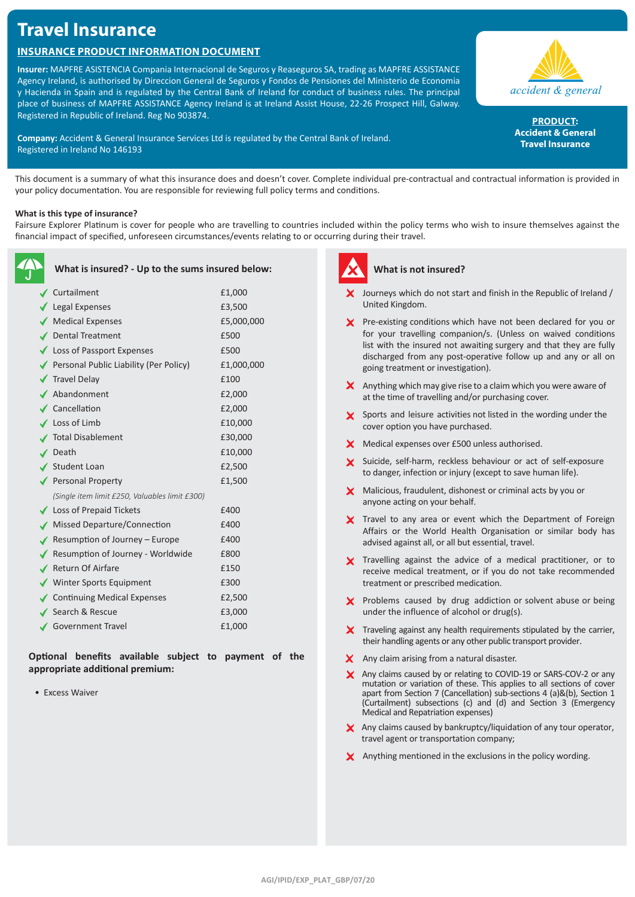# **Travel Insurance**

# **Insurance Product Information Document**

**Insurer:** MAPFRE ASISTENCIA Compania Internacional de Seguros y Reaseguros SA, trading as MAPFRE ASSISTANCE Agency Ireland, is authorised by Direccion General de Seguros y Fondos de Pensiones del Ministerio de Economia y Hacienda in Spain and is regulated by the Central Bank of Ireland for conduct of business rules. The principal place of business of MAPFRE ASSISTANCE Agency Ireland is at Ireland Assist House, 22-26 Prospect Hill, Galway. Registered in Republic of Ireland. Reg No 903874.

**Company:** Accident & General Insurance Services Ltd is regulated by the Central Bank of Ireland. Registered in Ireland No 146193



PRODUCT: **Accident & General Travel Insurance**

This document is a summary of what this insurance does and doesn't cover. Complete individual pre-contractual and contractual information is provided in your policy documentation. You are responsible for reviewing full policy terms and conditions.

## **What is this type of insurance?**

Fairsure Explorer Platinum is cover for people who are travelling to countries included within the policy terms who wish to insure themselves against the financial impact of specified, unforeseen circumstances/events relating to or occurring during their travel.

| What is insured? - Up to the sums insured below: |            |
|--------------------------------------------------|------------|
| Curtailment                                      | £1,000     |
| $\sqrt{\phantom{a}}$ Legal Expenses              | £3,500     |
| Medical Expenses                                 | £5,000,000 |
| ✔ Dental Treatment                               | £500       |
| ◆ Loss of Passport Expenses                      | £500       |
| Personal Public Liability (Per Policy)           | £1,000,000 |
| <b>√</b> Travel Delay                            | £100       |
| ▲ Abandonment                                    | £2,000     |
| $\checkmark$ Cancellation                        | £2,000     |
| $\checkmark$ Loss of Limb                        | £10,000    |
| √ Total Disablement                              | £30,000    |
| $\angle$ Death                                   | £10,000    |
| ✔ Student Loan                                   | £2,500     |
| Personal Property                                | £1,500     |
| (Single item limit £250, Valuables limit £300)   |            |
| $\blacktriangleright$ Loss of Prepaid Tickets    | £400       |
| √ Missed Departure/Connection                    | £400       |
| Resumption of Journey – Europe                   | £400       |
| Resumption of Journey - Worldwide                | £800       |
| ✔ Return Of Airfare                              | £150       |
| ◆ Winter Sports Equipment                        | £300       |
| <b>Continuing Medical Expenses</b>               | £2,500     |
| ✔ Search & Rescue                                | £3,000     |
| <b>Government Travel</b>                         | £1,000     |

**Optional benefits available subject to payment of the appropriate additional premium:**

• Excess Waiver



# **What is not insured?**

- $\boldsymbol{\times}$  Journeys which do not start and finish in the Republic of Ireland / United Kingdom.
- X Pre-existing conditions which have not been declared for you or for your travelling companion/s. (Unless on waived conditions list with the insured not awaiting surgery and that they are fully discharged from any post-operative follow up and any or all on going treatment or investigation).
- $\boldsymbol{\times}$  Anything which may give rise to a claim which you were aware of at the time of travelling and/or purchasing cover.
- Sports and leisure activities not listed in the wording under the cover option you have purchased.
- **X** Medical expenses over £500 unless authorised.
- X Suicide, self-harm, reckless behaviour or act of self-exposure to danger, infection or injury (except to save human life).
- X Malicious, fraudulent, dishonest or criminal acts by you or anyone acting on your behalf.
- X Travel to any area or event which the Department of Foreign Affairs or the World Health Organisation or similar body has advised against all, or all but essential, travel.
- X Travelling against the advice of a medical practitioner, or to receive medical treatment, or if you do not take recommended treatment or prescribed medication.
- $\times$  Problems caused by drug addiction or solvent abuse or being under the influence of alcohol or drug(s).
- $\boldsymbol{\times}$  Traveling against any health requirements stipulated by the carrier, their handling agents or any other public transport provider.
- X Any claim arising from a natural disaster.
- X Any claims caused by or relating to COVID-19 or SARS-COV-2 or any mutation or variation of these. This applies to all sections of cover apart from Section 7 (Cancellation) sub-sections 4 (a)&(b), Section 1 (Curtailment) subsections (c) and (d) and Section 3 (Emergency Medical and Repatriation expenses)
- X Any claims caused by bankruptcy/liquidation of any tour operator, travel agent or transportation company;
- X Anything mentioned in the exclusions in the policy wording.